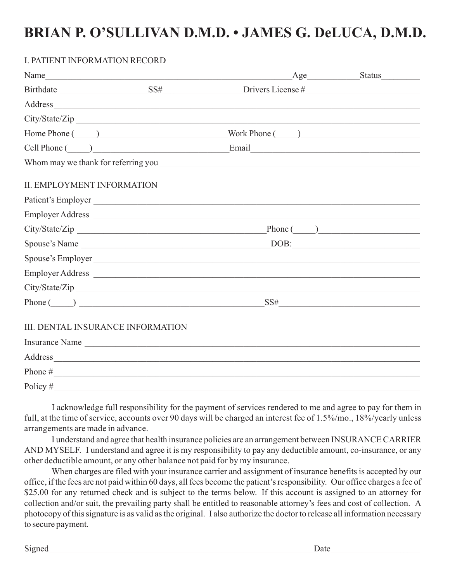# **BRIAN P. O'SULLIVAN D.M.D. • JAMES G. DeLUCA, D.M.D.**

# I. PATIENT INFORMATION RECORD

| Name                                     |                                                                                                                                                                                                                                | Age Status |
|------------------------------------------|--------------------------------------------------------------------------------------------------------------------------------------------------------------------------------------------------------------------------------|------------|
|                                          |                                                                                                                                                                                                                                |            |
| Address                                  |                                                                                                                                                                                                                                |            |
|                                          |                                                                                                                                                                                                                                |            |
|                                          | Home Phone (Campbell 2014) [Service 2015 [Service 2015] [Service 2015] [Service 2016] [Service 2016] [Service 2016] [Service 2016] [Service 2016] [Service 2016] [Service 2016] [Service 2016] [Service 2016] [Service 2016] [ |            |
|                                          |                                                                                                                                                                                                                                |            |
|                                          |                                                                                                                                                                                                                                |            |
| <b>II. EMPLOYMENT INFORMATION</b>        |                                                                                                                                                                                                                                |            |
|                                          | Patient's Employer                                                                                                                                                                                                             |            |
| Employer Address                         |                                                                                                                                                                                                                                |            |
|                                          | $City/State/Zip$ Phone $(\_\_)$                                                                                                                                                                                                |            |
|                                          |                                                                                                                                                                                                                                |            |
|                                          | Spouse's Employer                                                                                                                                                                                                              |            |
|                                          | Employer Address                                                                                                                                                                                                               |            |
|                                          |                                                                                                                                                                                                                                |            |
|                                          | $Phone(\_ )$                                                                                                                                                                                                                   |            |
| <b>III. DENTAL INSURANCE INFORMATION</b> |                                                                                                                                                                                                                                |            |
| Insurance Name                           |                                                                                                                                                                                                                                |            |
|                                          | Address and the contract of the contract of the contract of the contract of the contract of the contract of the contract of the contract of the contract of the contract of the contract of the contract of the contract of th |            |
|                                          |                                                                                                                                                                                                                                |            |
| Policy $\#$                              |                                                                                                                                                                                                                                |            |

I acknowledge full responsibility for the payment of services rendered to me and agree to pay for them in full, at the time of service, accounts over 90 days will be charged an interest fee of 1.5%/mo., 18%/yearly unless arrangements are made in advance.

I understand and agree that health insurance policies are an arrangement between INSURANCE CARRIER AND MYSELF. I understand and agree it is my responsibility to pay any deductible amount, co-insurance, or any other deductible amount, or any other balance not paid for by my insurance.

When charges are filed with your insurance carrier and assignment of insurance benefits is accepted by our office, if the fees are not paid within 60 days, all fees become the patient's responsibility. Our office charges a fee of \$25.00 for any returned check and is subject to the terms below. If this account is assigned to an attorney for collection and/or suit, the prevailing party shall be entitled to reasonable attorney's fees and cost of collection. A photocopy of this signature is as valid as the original. I also authorize the doctor to release all information necessary to secure payment.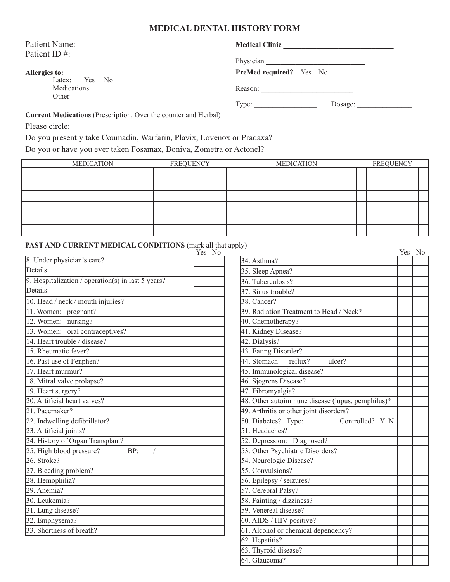# **MEDICAL DENTAL HISTORY FORM**

| Patient Name:                | <b>Medical Clinic</b>          |
|------------------------------|--------------------------------|
| Patient ID#:                 | Physician                      |
| <b>Allergies to:</b>         | <b>PreMed required?</b> Yes No |
| Latex: Yes No<br>Medications | Reason:                        |
| Other                        | Type:<br>Dosage:               |

**Current Medications** (Prescription, Over the counter and Herbal)

Please circle:

Do you presently take Coumadin, Warfarin, Plavix, Lovenox or Pradaxa?

Do you or have you ever taken Fosamax, Boniva, Zometra or Actonel?

| <b>MEDICATION</b> | <b>FREQUENCY</b> |  | <b>MEDICATION</b> | <b>FREQUENCY</b> |  |
|-------------------|------------------|--|-------------------|------------------|--|
|                   |                  |  |                   |                  |  |
|                   |                  |  |                   |                  |  |
|                   |                  |  |                   |                  |  |
|                   |                  |  |                   |                  |  |
|                   |                  |  |                   |                  |  |
|                   |                  |  |                   |                  |  |

**PAST AND CURRENT MEDICAL CONDITIONS** (mark all that apply)

|                                                    | Yes No |                                                  | Yes No |  |
|----------------------------------------------------|--------|--------------------------------------------------|--------|--|
| 8. Under physician's care?                         |        | 34. Asthma?                                      |        |  |
| Details:                                           |        | 35. Sleep Apnea?                                 |        |  |
| 9. Hospitalization / operation(s) in last 5 years? |        | 36. Tuberculosis?                                |        |  |
| Details:                                           |        | 37. Sinus trouble?                               |        |  |
| 10. Head / neck / mouth injuries?                  |        | 38. Cancer?                                      |        |  |
| 11. Women: pregnant?                               |        | 39. Radiation Treatment to Head / Neck?          |        |  |
| 12. Women: nursing?                                |        | 40. Chemotherapy?                                |        |  |
| 13. Women: oral contraceptives?                    |        | 41. Kidney Disease?                              |        |  |
| 14. Heart trouble / disease?                       |        | 42. Dialysis?                                    |        |  |
| 15. Rheumatic fever?                               |        | 43. Eating Disorder?                             |        |  |
| 16. Past use of Fenphen?                           |        | 44. Stomach: reflux?<br>ulcer?                   |        |  |
| 17. Heart murmur?                                  |        | 45. Immunological disease?                       |        |  |
| 18. Mitral valve prolapse?                         |        | 46. Sjogrens Disease?                            |        |  |
| 19. Heart surgery?                                 |        | 47. Fibromyalgia?                                |        |  |
| 20. Artificial heart valves?                       |        | 48. Other autoimmune disease (lupus, pemphilus)? |        |  |
| 21. Pacemaker?                                     |        | 49. Arthritis or other joint disorders?          |        |  |
| 22. Indwelling defibrillator?                      |        | 50. Diabetes? Type:<br>Controlled? Y N           |        |  |
| 23. Artificial joints?                             |        | 51. Headaches?                                   |        |  |
| 24. History of Organ Transplant?                   |        | 52. Depression: Diagnosed?                       |        |  |
| 25. High blood pressure?<br>BP:                    |        | 53. Other Psychiatric Disorders?                 |        |  |
| 26. Stroke?                                        |        | 54. Neurologic Disease?                          |        |  |
| 27. Bleeding problem?                              |        | 55. Convulsions?                                 |        |  |
| 28. Hemophilia?                                    |        | 56. Epilepsy / seizures?                         |        |  |
| 29. Anemia?                                        |        | 57. Cerebral Palsy?                              |        |  |
| 30. Leukemia?                                      |        | 58. Fainting / dizziness?                        |        |  |
| 31. Lung disease?                                  |        | 59. Venereal disease?                            |        |  |
| 32. Emphysema?                                     |        | 60. AIDS / HIV positive?                         |        |  |
| 33. Shortness of breath?                           |        | 61. Alcohol or chemical dependency?              |        |  |
|                                                    |        | 62. Hepatitis?                                   |        |  |
|                                                    |        | 63. Thyroid disease?                             |        |  |
|                                                    |        |                                                  |        |  |

64. Glaucoma?